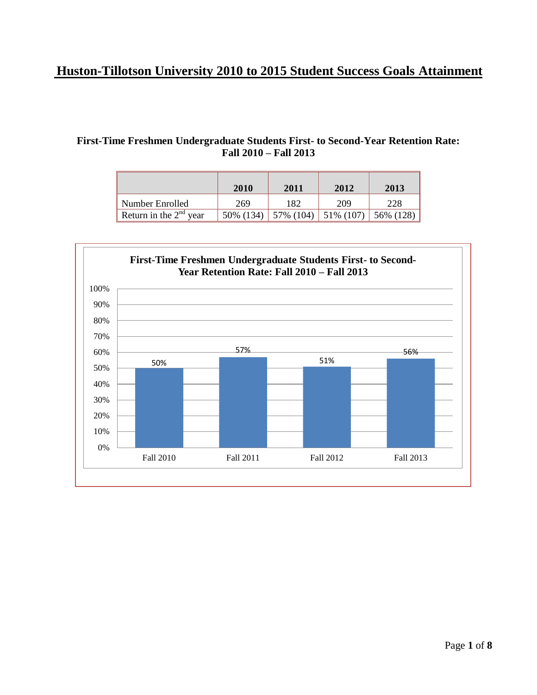## **Huston-Tillotson University 2010 to 2015 Student Success Goals Attainment**

## **First-Time Freshmen Undergraduate Students First- to Second-Year Retention Rate: Fall 2010 – Fall 2013**

|                          | 2010       | 2011                      | 2012 | 2013      |
|--------------------------|------------|---------------------------|------|-----------|
| Number Enrolled          | 269        | 182                       | 209  | 228       |
| Return in the $2nd$ year | 50\% (134) | $57\%$ (104)   51\% (107) |      | 56% (128) |

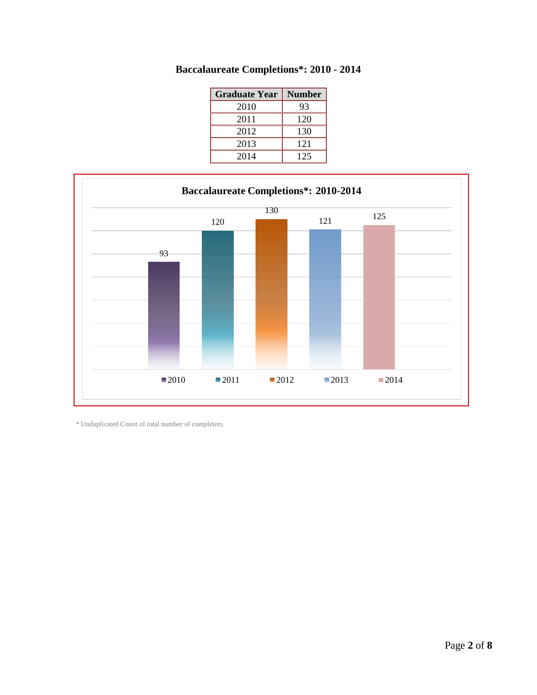| <b>Graduate Year</b> | <b>Number</b> |  |
|----------------------|---------------|--|
| 2010                 | 93            |  |
| 2011                 | 120           |  |
| 2012                 | 130           |  |
| 2013                 | 121           |  |
| 2014                 | 125           |  |





\* Unduplicated Count of total number of completers.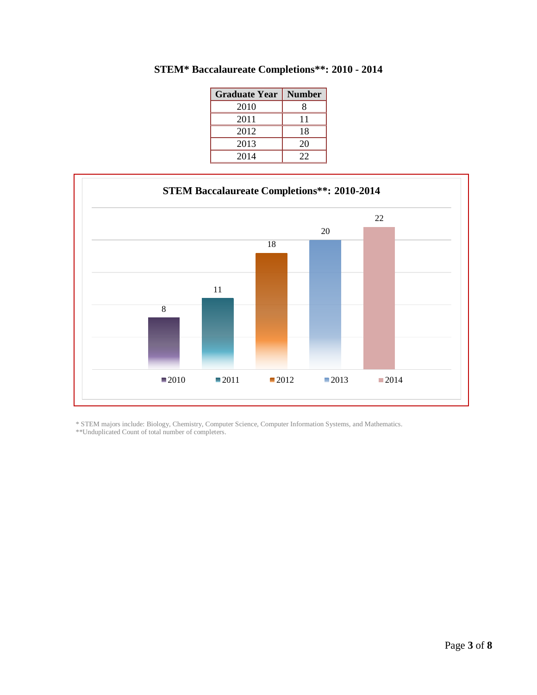| <b>Graduate Year</b> | <b>Number</b> |  |
|----------------------|---------------|--|
| 2010                 |               |  |
| 2011                 | 11            |  |
| 2012                 | 18            |  |
| 2013                 | 20            |  |
| 2014                 | 22            |  |

**STEM\* Baccalaureate Completions\*\*: 2010 - 2014**



\* STEM majors include: Biology, Chemistry, Computer Science, Computer Information Systems, and Mathematics. \*\*Unduplicated Count of total number of completers.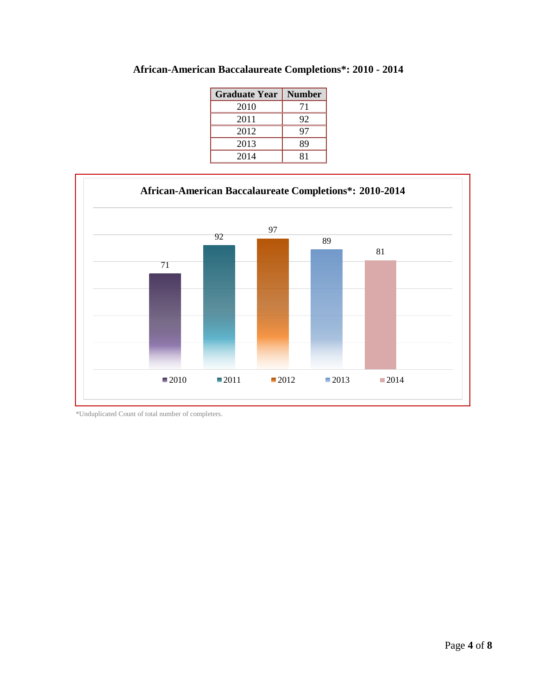| <b>Graduate Year</b> | <b>Number</b> |  |
|----------------------|---------------|--|
| 2010                 | 71            |  |
| 2011                 | 92            |  |
| 2012                 | 97            |  |
| 2013                 | 89            |  |
| 2014                 | 81            |  |





\*Unduplicated Count of total number of completers.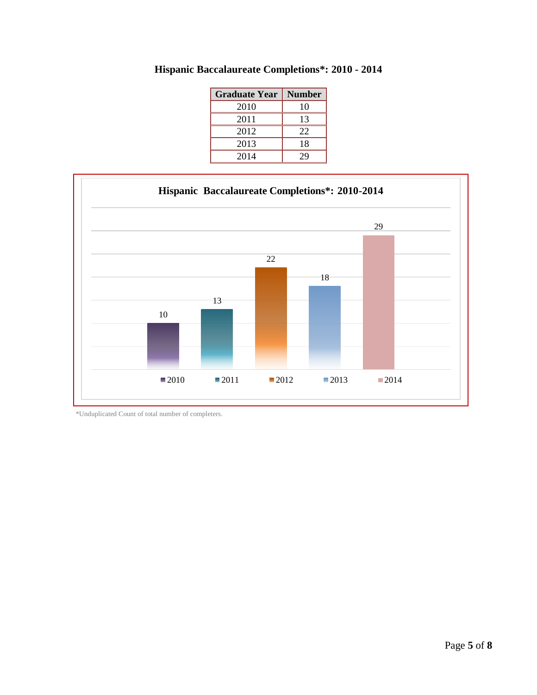| <b>Graduate Year</b> | <b>Number</b> |  |
|----------------------|---------------|--|
| 2010                 | 10            |  |
| 2011                 | 13            |  |
| 2012                 | 22            |  |
| 2013                 | 18            |  |
| 2014                 | 29            |  |

**Hispanic Baccalaureate Completions\*: 2010 - 2014**



\*Unduplicated Count of total number of completers.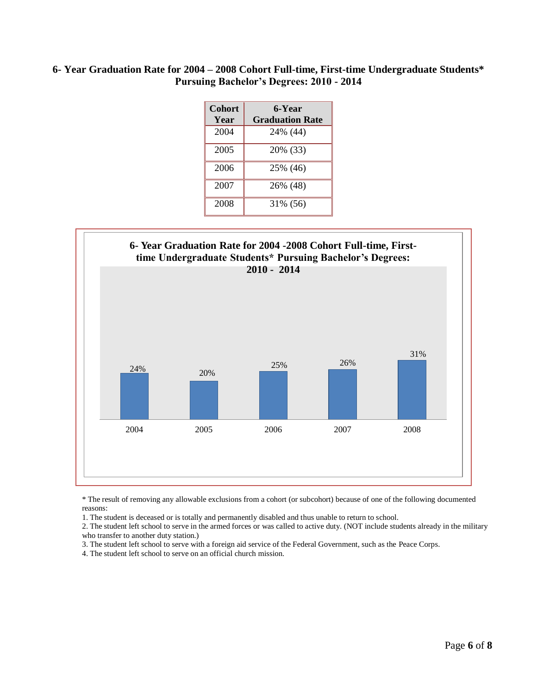## **6- Year Graduation Rate for 2004 – 2008 Cohort Full-time, First-time Undergraduate Students\* Pursuing Bachelor's Degrees: 2010 - 2014**

| <b>Cohort</b><br>Year | 6-Year<br><b>Graduation Rate</b> |
|-----------------------|----------------------------------|
| 2004                  | 24% (44)                         |
| 2005                  | 20% (33)                         |
| 2006                  | 25% (46)                         |
| 2007                  | 26% (48)                         |
| 2008                  | 31\% (56)                        |



\* The result of removing any allowable exclusions from a cohort (or subcohort) because of one of the following documented reasons:

1. The student is deceased or is totally and permanently disabled and thus unable to return to school.

2. The student left school to serve in the armed forces or was called to active duty. (NOT include students already in the military who transfer to another duty station.)

3. The student left school to serve with a foreign aid service of the Federal Government, such as the Peace Corps.

4. The student left school to serve on an official church mission.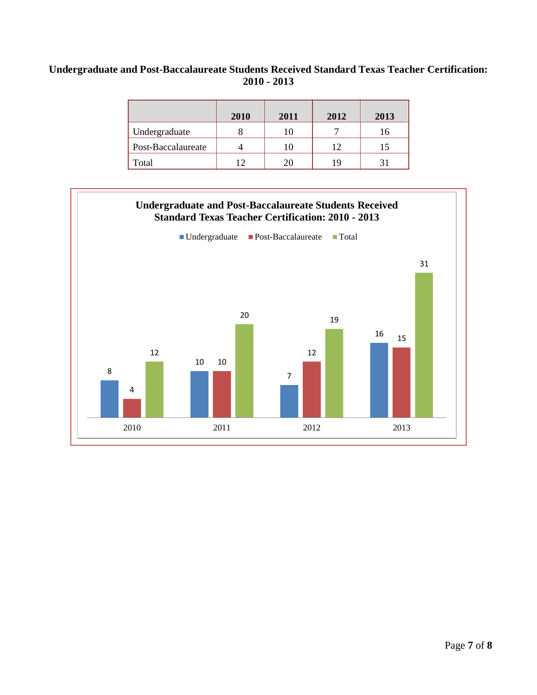## **Undergraduate and Post-Baccalaureate Students Received Standard Texas Teacher Certification: 2010 - 2013**

|                    | 2010 | 2011 | 2012 | 2013 |
|--------------------|------|------|------|------|
| Undergraduate      |      |      |      | Iб   |
| Post-Baccalaureate |      |      | 12   |      |
| Total              | ר ו  |      | 19   |      |